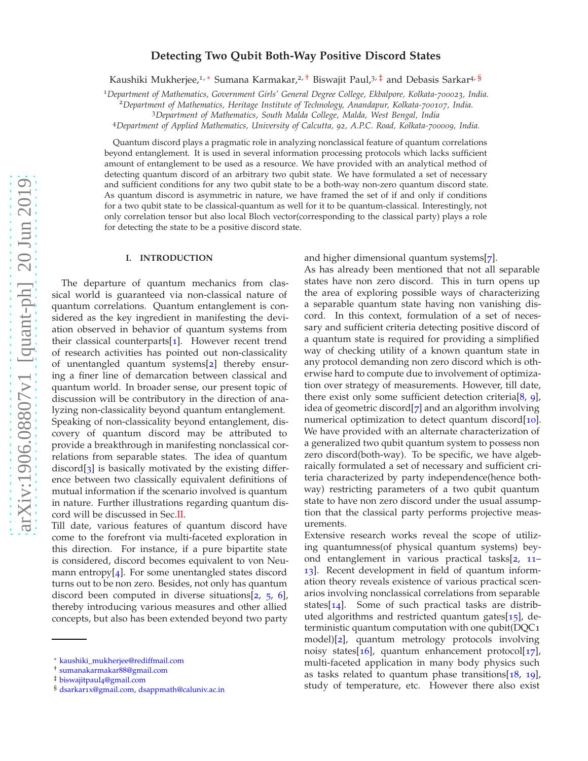# **Detecting Two Qubit Both-Way Positive Discord States**

Kaushiki Mukherjee,<sup>1,\*</sup> Sumana Karmakar,<sup>2,[†](#page-0-1)</sup> Biswajit Paul,<sup>3,[‡](#page-0-2)</sup> and Debasis Sarkar<sup>4,[§](#page-0-3)</sup>

<sup>1</sup>*Department of Mathematics, Government Girls' General Degree College, Ekbalpore, Kolkata-700023, India.*

<sup>2</sup>*Department of Mathematics, Heritage Institute of Technology, Anandapur, Kolkata-700107, India.*

<sup>3</sup>*Department of Mathematics, South Malda College, Malda, West Bengal, India*

<sup>4</sup>*Department of Applied Mathematics, University of Calcutta, 92, A.P.C. Road, Kolkata-700009, India.*

Quantum discord plays a pragmatic role in analyzing nonclassical feature of quantum correlations beyond entanglement. It is used in several information processing protocols which lacks sufficient amount of entanglement to be used as a resource. We have provided with an analytical method of detecting quantum discord of an arbitrary two qubit state. We have formulated a set of necessary and sufficient conditions for any two qubit state to be a both-way non-zero quantum discord state. As quantum discord is asymmetric in nature, we have framed the set of if and only if conditions for a two qubit state to be classical-quantum as well for it to be quantum-classical. Interestingly, not only correlation tensor but also local Bloch vector(corresponding to the classical party) plays a role for detecting the state to be a positive discord state.

#### **I. INTRODUCTION**

The departure of quantum mechanics from classical world is guaranteed via non-classical nature of quantum correlations. Quantum entanglement is considered as the key ingredient in manifesting the deviation observed in behavior of quantum systems from their classical counterparts[1]. However recent trend of research activities has pointed out non-classicality of unentangled quantum systems[[2](#page-5-0)] thereby ensuring a finer line of demarcation between classical and quantum world. In broader sense, our present topic of discussion will be contributory in the direction of analyzing non-classicality beyond quantum entanglement. Speaking of non-classicality beyond entanglement, discovery of quantum discord may be attributed to provide a breakthrough in manifesting nonclassical correlations from separable states. The idea of quantum discord[[3](#page-5-1)] is basically motivated by the existing difference between two classically equivalent definitions of mutual information if the scenario involved is quantum in nature. Further illustrations regarding quantum discord will be discussed in Sec[.II.](#page-1-0)

Till date, various features of quantum discord have come to the forefront via multi-faceted exploration in this direction. For instance, if a pure bipartite state is considered, discord becomes equivalent to von Neumann entropy $[4]$ . For some unentangled states discord turns out to be non zero. Besides, not only has quantum discord been computed in diverse situations[[2](#page-5-0), [5](#page-5-2), [6](#page-5-3)], thereby introducing various measures and other allied concepts, but also has been extended beyond two party and higher dimensional quantum systems[[7](#page-5-4)].

As has already been mentioned that not all separable states have non zero discord. This in turn opens up the area of exploring possible ways of characterizing a separable quantum state having non vanishing discord. In this context, formulation of a set of necessary and sufficient criteria detecting positive discord of a quantum state is required for providing a simplified way of checking utility of a known quantum state in any protocol demanding non zero discord which is otherwise hard to compute due to involvement of optimization over strategy of measurements. However, till date, there exist only some sufficient detection criteria[[8](#page-5-5), [9](#page-5-6)], idea of geometric discord[[7](#page-5-4)] and an algorithm involving numerical optimization to detect quantum discord[[10](#page-5-7)]. We have provided with an alternate characterization of a generalized two qubit quantum system to possess non zero discord(both-way). To be specific, we have algebraically formulated a set of necessary and sufficient criteria characterized by party independence(hence bothway) restricting parameters of a two qubit quantum state to have non zero discord under the usual assumption that the classical party performs projective measurements.

Extensive research works reveal the scope of utilizing quantumness(of physical quantum systems) beyond entanglement in various practical tasks[[2](#page-5-0), 11– 13]. Recent development in field of quantum information theory reveals existence of various practical scenarios involving nonclassical correlations from separable states[14]. Some of such practical tasks are distributed algorithms and restricted quantum gates $[15]$ , deterministic quantum computation with one qubit(DQC1 model)[[2](#page-5-0)], quantum metrology protocols involving noisy states[16], quantum enhancement protocol[17], multi-faceted application in many body physics such as tasks related to quantum phase transitions[ $18, 19$  $18, 19$  $18, 19$ ], study of temperature, etc. However there also exist

<span id="page-0-0"></span><sup>∗</sup> [kaushiki\\_mukherjee@rediffmail.com](mailto:kaushiki_mukherjee@rediffmail.com)

<span id="page-0-1"></span><sup>†</sup> [sumanakarmakar](mailto:sumanakarmakar88@gmail.com)88@gmail.com

<span id="page-0-2"></span><sup>‡</sup> [biswajitpaul](mailto:biswajitpaul4@gmail.com)4@gmail.com

<span id="page-0-3"></span><sup>§</sup> dsarkar1[x@gmail.com, dsappmath@caluniv.ac.in](mailto:dsarkar1x@gmail.com, dsappmath@caluniv.ac.in)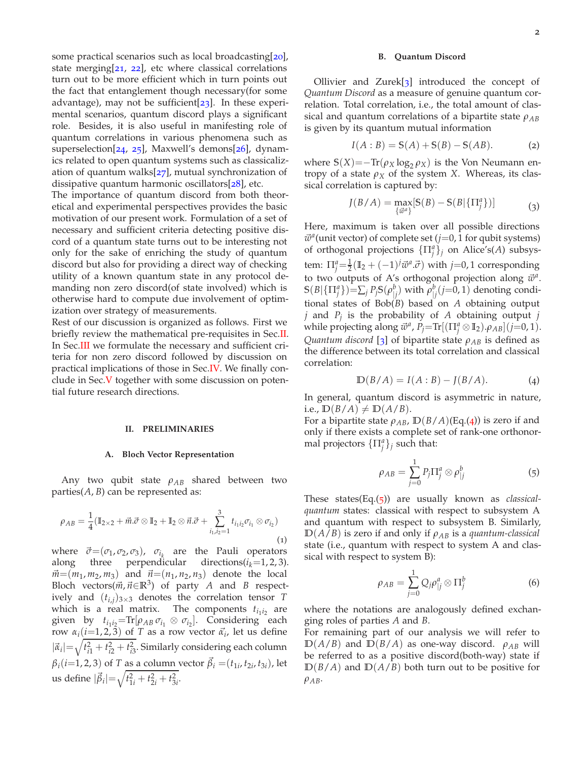some practical scenarios such as local broadcasting[20], state merging[21, 22], etc where classical correlations turn out to be more efficient which in turn points out the fact that entanglement though necessary(for some advantage), may not be sufficient $[23]$  $[23]$  $[23]$ . In these experimental scenarios, quantum discord plays a significant role. Besides, it is also useful in manifesting role of quantum correlations in various phenomena such as superselection[[24](#page-5-11), [25](#page-5-12)], Maxwell's demons[[26](#page-5-13)], dynamics related to open quantum systems such as classicalization of quantum walks $[27]$ , mutual synchronization of dissipative quantum harmonic oscillators[28], etc.

The importance of quantum discord from both theoretical and experimental perspectives provides the basic motivation of our present work. Formulation of a set of necessary and sufficient criteria detecting positive discord of a quantum state turns out to be interesting not only for the sake of enriching the study of quantum discord but also for providing a direct way of checking utility of a known quantum state in any protocol demanding non zero discord(of state involved) which is otherwise hard to compute due involvement of optimization over strategy of measurements.

Rest of our discussion is organized as follows. First we briefly review the mathematical pre-requisites in Sec[.II.](#page-1-0) In Sec[.III](#page-2-0) we formulate the necessary and sufficient criteria for non zero discord followed by discussion on practical implications of those in Sec[.IV.](#page-3-0) We finally conclude in Sec[.V](#page-5-14) together with some discussion on potential future research directions.

## <span id="page-1-0"></span>**II. PRELIMINARIES**

#### **A. Bloch Vector Representation**

Any two qubit state *ρAB* shared between two parties $(A, B)$  can be represented as:

$$
\rho_{AB} = \frac{1}{4} (\mathbb{I}_{2 \times 2} + \vec{m}.\vec{\sigma} \otimes \mathbb{I}_{2} + \mathbb{I}_{2} \otimes \vec{n}.\vec{\sigma} + \sum_{i_1, i_2 = 1}^{3} t_{i_1 i_2} \sigma_{i_1} \otimes \sigma_{i_2})
$$
\n(1)

where  $\vec{\sigma} = (\sigma_1, \sigma_2, \sigma_3)$ ,  $\sigma_{i_k}$  are the Pauli operators along three perpendicular directions $(i_k=1, 2, 3)$ .  $\vec{m} = (m_1, m_2, m_3)$  and  $\vec{n} = (n_1, n_2, n_3)$  denote the local Bloch vectors( $\vec{m}$ ,  $\vec{n} \in \mathbb{R}^3$ ) of party *A* and *B* respectively and  $(t_{i,j})_{3\times 3}$  denotes the correlation tensor *T* which is a real matrix. The components  $t_{i_1 i_2}$  are given by  $t_{i_1 i_2}$ =Tr[ $\rho_{AB} \sigma_{i_1} \otimes \sigma_{i_2}$ ]. Considering each row  $\alpha_i$ ( $i=1,2,3$ ) of *T* as a row vector  $\vec{\alpha}_i$ , let us define  $|\vec{\alpha}_i| = \sqrt{t_{i1}^2 + t_{i2}^2 + t_{i3}^2}$ . Similarly considering each column  $\beta_i(i=1,2,3)$  of *T* as a column vector  $\vec{\beta}_i = (t_{1i}, t_{2i}, t_{3i})$ , let us define  $|\vec{\beta}_i| = \sqrt{t_{1i}^2 + t_{2i}^2 + t_{3i}^2}$ .

### **B. Quantum Discord**

Ollivier and Zurek[[3](#page-5-1)] introduced the concept of *Quantum Discord* as a measure of genuine quantum correlation. Total correlation, i.e., the total amount of classical and quantum correlations of a bipartite state *ρAB* is given by its quantum mutual information

$$
I(A:B) = S(A) + S(B) - S(AB).
$$
 (2)

where  $S(X) = -\text{Tr}(\rho_X \log_2 \rho_X)$  is the Von Neumann entropy of a state  $\rho_X$  of the system *X*. Whereas, its classical correlation is captured by:

$$
J(B/A) = \max_{\{\vec{w}^a\}} [S(B) - S(B|\{\Pi_j^a\})]
$$
(3)

Here, maximum is taken over all possible directions  $\vec{w}^a$  (unit vector) of complete set (*j*=0, 1 for qubit systems) of orthogonal projections {Π*<sup>a</sup> j* }*<sup>j</sup>* on Alice's(*A*) subsystem:  $\Pi_j^a = \frac{1}{2} (\mathbb{I}_2 + (-1)^j \vec{\omega}^a \cdot \vec{\sigma})$  with *j*=0, 1 corresponding to two outputs of A's orthogonal projection along  $\vec{w}^a$ .  $\mathcal{S}(B|\{\Pi_j^a\})=\sum_j P_j \mathcal{S}(\rho_j^b)$  with  $\rho_j^b(j=0,1)$  denoting conditional states of Bob(*B*) based on *A* obtaining output *j* and *P<sup>j</sup>* is the probability of *A* obtaining output *j* while projecting along  $\vec{w}^a$ ,  $P_j$ =Tr[ $(\Pi_j^a \otimes \mathbb{I}_2).\rho_{AB}](j=0,1)$ . *Quantum discord* [[3](#page-5-1)] of bipartite state  $\rho_{AB}$  is defined as the difference between its total correlation and classical correlation:

<span id="page-1-1"></span>
$$
\mathbb{D}(B/A) = I(A:B) - J(B/A). \tag{4}
$$

In general, quantum discord is asymmetric in nature, i.e.,  $D(B/A) \neq D(A/B)$ .

For a bipartite state  $\rho_{AB}$ ,  $D(B/A)(Eq.(4))$  $D(B/A)(Eq.(4))$  $D(B/A)(Eq.(4))$  is zero if and only if there exists a complete set of rank-one orthonormal projectors  $\{\Pi_j^a\}_j$  such that:

<span id="page-1-2"></span>
$$
\rho_{AB} = \sum_{j=0}^{1} P_j \Pi_j^a \otimes \rho_{|j}^b \tag{5}
$$

<span id="page-1-3"></span>These states(Eq.([5](#page-1-2))) are usually known as *classicalquantum* states: classical with respect to subsystem A and quantum with respect to subsystem B. Similarly,  $D(A/B)$  is zero if and only if  $\rho_{AB}$  is a *quantum-classical* state (i.e., quantum with respect to system A and classical with respect to system B):

$$
\rho_{AB} = \sum_{j=0}^{1} Q_j \rho_{|j}^a \otimes \Pi_j^b \tag{6}
$$

where the notations are analogously defined exchanging roles of parties *A* and *B*.

For remaining part of our analysis we will refer to  $D(A/B)$  and  $D(B/A)$  as one-way discord.  $\rho_{AB}$  will be referred to as a positive discord(both-way) state if  $D(B/A)$  and  $D(A/B)$  both turn out to be positive for *ρAB*.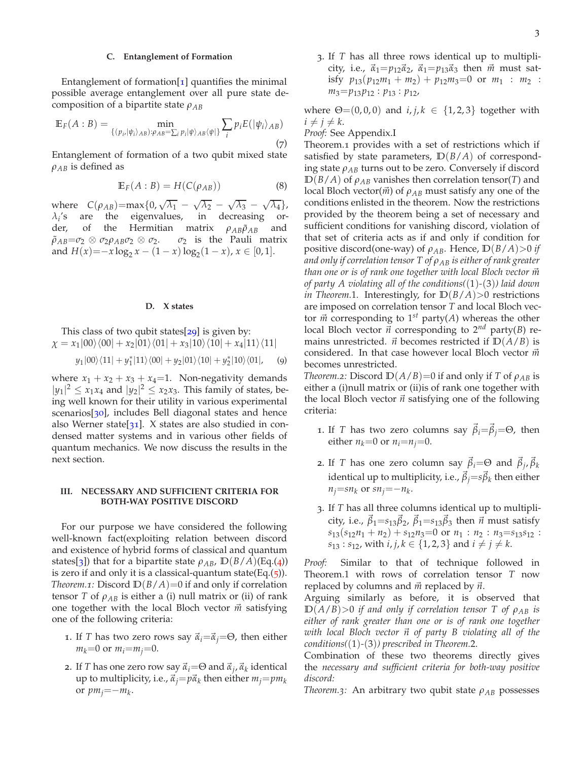### **C. Entanglement of Formation**

Entanglement of formation $[1]$  quantifies the minimal possible average entanglement over all pure state decomposition of a bipartite state *ρAB*

$$
\mathbb{E}_F(A:B) = \min_{\{(p_i,|\psi_i\rangle_{AB}): \rho_{AB} = \sum_i p_i |\psi\rangle_{AB} \langle \psi|\}} \sum_i p_i E(|\psi_i\rangle_{AB})
$$
\n(7)

Entanglement of formation of a two qubit mixed state *ρAB* is defined as

$$
\mathbb{E}_F(A:B) = H(C(\rho_{AB})) \tag{8}
$$

where  $C(\rho_{AB}) = \max\{0, \sqrt{\lambda_1} - \sqrt{\lambda_2} - \sqrt{\lambda_3} - \sqrt{\lambda_4}\},$  $\lambda_i$ 's are the eigenvalues, in decreasing order, of the Hermitian matrix  $ρ<sub>AB</sub>ρ̃<sub>AB</sub>$  and  $\tilde{\rho}_{AB}=\sigma_2 \otimes \sigma_2 \rho_{AB} \sigma_2 \otimes \sigma_2$ .  $\sigma_2$  is the Pauli matrix and  $H(x) = -x \log_2 x - (1 - x) \log_2 (1 - x)$ ,  $x \in [0, 1]$ .

#### **D. X states**

This class of two qubit states $[29]$  $[29]$  $[29]$  is given by:  $\chi = x_1|00\rangle\langle00| + x_2|01\rangle\langle01| + x_3|10\rangle\langle10| + x_4|11\rangle\langle11|$ 

$$
y_1|00\rangle\langle 11| + y_1^*|11\rangle\langle 00| + y_2|01\rangle\langle 10| + y_2^*|10\rangle\langle 01|, \quad (9)
$$

where  $x_1 + x_2 + x_3 + x_4 = 1$ . Non-negativity demands  $|y_1|^2 \leq x_1x_4$  and  $|y_2|^2 \leq x_2x_3$ . This family of states, being well known for their utility in various experimental scenarios[[30](#page-5-16)], includes Bell diagonal states and hence also Werner state[ $31$ ]. X states are also studied in condensed matter systems and in various other fields of quantum mechanics. We now discuss the results in the next section.

#### <span id="page-2-0"></span>**III. NECESSARY AND SUFFICIENT CRITERIA FOR BOTH-WAY POSITIVE DISCORD**

For our purpose we have considered the following well-known fact(exploiting relation between discord and existence of hybrid forms of classical and quantum states[[3](#page-5-1)]) that for a bipartite state  $\rho_{AB}$ ,  $D(B/A)(Eq.(4))$  $D(B/A)(Eq.(4))$  $D(B/A)(Eq.(4))$ is zero if and only it is a classical-quantum state(Eq. $(5)$  $(5)$  $(5)$ ). *Theorem.1*: Discord  $D(B/A)=0$  if and only if correlation tensor *T* of  $\rho_{AB}$  is either a (i) null matrix or (ii) of rank one together with the local Bloch vector  $\vec{m}$  satisfying one of the following criteria:

- 1. If *T* has two zero rows say  $\vec{\alpha}_i = \vec{\alpha}_i = \Theta$ , then either  $m_k$ =0 or  $m_i$ = $m_j$ =0.
- 2. If *T* has one zero row say  $\vec{\alpha}_i = \Theta$  and  $\vec{\alpha}_j$ ,  $\vec{\alpha}_k$  identical  $\alpha$  to multiplicity, i.e.,  $\vec{\alpha_j} = p\vec{\alpha_k}$  then either  $m_j = pm_k$ or  $pm_j = -m_k$ .

3. If *T* has all three rows identical up to multiplicity, i.e.,  $\vec{\alpha}_1 = p_{12}\vec{\alpha}_2$ ,  $\vec{\alpha}_1 = p_{13}\vec{\alpha}_3$  then  $\vec{m}$  must satisfy  $p_{13}(p_{12}m_1 + m_2) + p_{12}m_3 = 0$  or  $m_1 : m_2 :$ *m*3=*p*<sup>13</sup> *p*<sup>12</sup> : *p*<sup>13</sup> : *p*12,

where  $\Theta = (0, 0, 0)$  and  $i, j, k \in \{1, 2, 3\}$  together with  $i \neq j \neq k$ .

*Proof:* See Appendix.I

Theorem.1 provides with a set of restrictions which if satisfied by state parameters,  $D(B/A)$  of corresponding state  $\rho_{AB}$  turns out to be zero. Conversely if discord  $D(B/A)$  of  $\rho_{AB}$  vanishes then correlation tensor(*T*) and local Bloch vector( $\vec{m}$ ) of  $\rho_{AB}$  must satisfy any one of the conditions enlisted in the theorem. Now the restrictions provided by the theorem being a set of necessary and sufficient conditions for vanishing discord, violation of that set of criteria acts as if and only if condition for positive discord(one-way) of  $\rho_{AB}$ . Hence,  $D(B/A) > 0$  *if and only if correlation tensor T of ρAB is either of rank greater than one or is of rank one together with local Bloch vector m*~ *of party A violating all of the conditions(*(1)*-*(3)*) laid down in Theorem.*1*.* Interestingly, for  $D(B/A) > 0$  restrictions are imposed on correlation tensor *T* and local Bloch vector  $\vec{m}$  corresponding to 1<sup>st</sup> party(*A*) whereas the other local Bloch vector  $\vec{n}$  corresponding to  $2^{nd}$  party(*B*) remains unrestricted.  $\vec{n}$  becomes restricted if  $D(A/B)$  is considered. In that case however local Bloch vector *m*~ becomes unrestricted.

<span id="page-2-1"></span>*Theorem.2:* Discord  $D(A/B)=0$  if and only if *T* of  $\rho_{AB}$  is either a (i)null matrix or (ii)is of rank one together with the local Bloch vector  $\vec{n}$  satisfying one of the following criteria:

- 1. If *T* has two zero columns say  $\vec{\beta}_i = \vec{\beta}_i = \Theta$ , then either  $n_k=0$  or  $n_i=n_j=0$ .
- 2. If *T* has one zero column say  $\vec{\beta}_i = \Theta$  and  $\vec{\beta}_j$ ,  $\vec{\beta}_k$ identical up to multiplicity, i.e.,  $\vec{\beta}_j = s \vec{\beta}_k$  then either  $n_j$ =*sn*<sub>k</sub> or *sn*<sub>j</sub>=−*n*<sub>k</sub>.
- 3. If *T* has all three columns identical up to multiplicity, i.e.,  $\beta_1 = s_{13}\beta_2$ ,  $\beta_1 = s_{13}\beta_3$  then  $\vec{n}$  must satisfy  $s_{13}(s_{12}n_1 + n_2) + s_{12}n_3 = 0$  or  $n_1 : n_2 : n_3 = s_{13}s_{12}$ : *s*<sub>13</sub> : *s*<sub>12</sub>, with *i*, *j*, *k* ∈ {1, 2, 3} and *i* ≠ *j* ≠ *k*.

*Proof:* Similar to that of technique followed in Theorem.1 with rows of correlation tensor *T* now replaced by columns and  $\vec{m}$  replaced by  $\vec{n}$ .

Arguing similarly as before, it is observed that  $D(A/B) > 0$  *if and only if correlation tensor T of*  $\rho_{AB}$  *is either of rank greater than one or is of rank one together with local Bloch vector* ~*n of party B violating all of the conditions(*(1)*-*(3)*) prescribed in Theorem.*2.

Combination of these two theorems directly gives the *necessary and sufficient criteria for both-way positive discord:*

*Theorem.3:* An arbitrary two qubit state *ρAB* possesses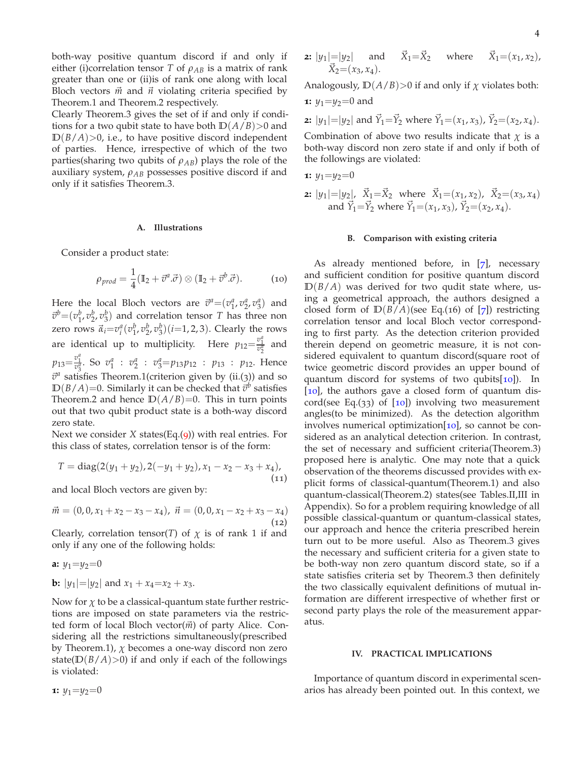both-way positive quantum discord if and only if either (i)correlation tensor *T* of  $\rho_{AB}$  is a matrix of rank greater than one or (ii)is of rank one along with local Bloch vectors  $\vec{m}$  and  $\vec{n}$  violating criteria specified by Theorem.1 and Theorem.2 respectively.

Clearly Theorem.3 gives the set of if and only if conditions for a two qubit state to have both  $D(A/B) > 0$  and  $D(B/A)$ >0, i.e., to have positive discord independent of parties. Hence, irrespective of which of the two parties(sharing two qubits of *ρAB*) plays the role of the auxiliary system, *ρAB* possesses positive discord if and only if it satisfies Theorem.3.

#### **A. Illustrations**

Consider a product state:

$$
\rho_{prod} = \frac{1}{4} (\mathbb{I}_2 + \vec{v}^a \cdot \vec{\sigma}) \otimes (\mathbb{I}_2 + \vec{v}^b \cdot \vec{\sigma}). \tag{10}
$$

Here the local Bloch vectors are  $\vec{v}^a = (v_1^a, v_2^a, v_3^a)$  and  $\vec{v}^b$  = ( $v_1^b$ ,  $v_2^b$ ,  $v_3^b$ ) and correlation tensor *T* has three non zero rows  $\vec{\alpha}_i = v_i^a(v_1^b, v_2^b, v_3^b)(i=1, 2, 3)$ . Clearly the rows are identical up to multiplicity. Here  $p_{12} = \frac{v_1^a}{v_2^a}$  and  $p_{13} = \frac{v_1^a}{v_3^a}$ . So  $v_1^a$  :  $v_2^a$  :  $v_3^a = p_{13}p_{12}$  :  $p_{13}$  :  $p_{12}$ . Hence  $\vec{v}^a$  satisfies Theorem.1(criterion given by (ii.(3)) and so  $D(B/A)=0$ . Similarly it can be checked that  $\vec{v}^b$  satisfies Theorem.2 and hence  $D(A/B)=0$ . This in turn points out that two qubit product state is a both-way discord zero state.

Next we consider *X* states(Eq.([9](#page-2-1))) with real entries. For this class of states, correlation tensor is of the form:

$$
T = diag(2(y_1 + y_2), 2(-y_1 + y_2), x_1 - x_2 - x_3 + x_4),
$$
\n(11)

and local Bloch vectors are given by:

$$
\vec{m} = (0, 0, x_1 + x_2 - x_3 - x_4), \ \vec{n} = (0, 0, x_1 - x_2 + x_3 - x_4)
$$
\n(12)

Clearly, correlation tensor(*T*) of  $\chi$  is of rank 1 if and only if any one of the following holds:

**a:** 
$$
y_1=y_2=0
$$
  
**b:**  $|y_1|=|y_2|$  and  $x_1 + x_4=x_2 + x_3$ .

Now for  $\chi$  to be a classical-quantum state further restrictions are imposed on state parameters via the restricted form of local Bloch vector( $\vec{m}$ ) of party Alice. Considering all the restrictions simultaneously(prescribed by Theorem.1), *χ* becomes a one-way discord non zero state( $D(B/A)$ >0) if and only if each of the followings is violated:

**2:** 
$$
|y_1|=|y_2|
$$
 and  $\vec{X}_1=\vec{X}_2$  where  $\vec{X}_1=(x_1, x_2),$   
 $\vec{X}_2=(x_3, x_4).$ 

Analogously,  $D(A/B) > 0$  if and only if  $\chi$  violates both: **1:**  $y_1 = y_2 = 0$  and

**2:** 
$$
|y_1| = |y_2|
$$
 and  $\vec{Y}_1 = \vec{Y}_2$  where  $\vec{Y}_1 = (x_1, x_3)$ ,  $\vec{Y}_2 = (x_2, x_4)$ .

Combination of above two results indicate that  $\chi$  is a both-way discord non zero state if and only if both of the followings are violated:

**1:** 
$$
y_1 = y_2 = 0
$$
  
\n**2:**  $|y_1| = |y_2|$ ,  $\vec{X}_1 = \vec{X}_2$  where  $\vec{X}_1 = (x_1, x_2)$ ,  $\vec{X}_2 = (x_3, x_4)$   
\nand  $\vec{Y}_1 = \vec{Y}_2$  where  $\vec{Y}_1 = (x_1, x_3)$ ,  $\vec{Y}_2 = (x_2, x_4)$ .

## **B. Comparison with existing criteria**

As already mentioned before, in [[7](#page-5-4)], necessary and sufficient condition for positive quantum discord  $D(B/A)$  was derived for two qudit state where, using a geometrical approach, the authors designed a closed form of  $D(B/A)$ (see Eq.(16) of [[7](#page-5-4)]) restricting correlation tensor and local Bloch vector corresponding to first party. As the detection criterion provided therein depend on geometric measure, it is not considered equivalent to quantum discord(square root of twice geometric discord provides an upper bound of quantum discord for systems of two qubits[[10](#page-5-7)]). In [[10](#page-5-7)], the authors gave a closed form of quantum discord(see Eq.(33) of  $[10]$  $[10]$  $[10]$ ) involving two measurement angles(to be minimized). As the detection algorithm involves numerical optimization $[10]$  $[10]$  $[10]$ , so cannot be considered as an analytical detection criterion. In contrast, the set of necessary and sufficient criteria(Theorem.3) proposed here is analytic. One may note that a quick observation of the theorems discussed provides with explicit forms of classical-quantum(Theorem.1) and also quantum-classical(Theorem.2) states(see Tables.II,III in Appendix). So for a problem requiring knowledge of all possible classical-quantum or quantum-classical states, our approach and hence the criteria prescribed herein turn out to be more useful. Also as Theorem.3 gives the necessary and sufficient criteria for a given state to be both-way non zero quantum discord state, so if a state satisfies criteria set by Theorem.3 then definitely the two classically equivalent definitions of mutual information are different irrespective of whether first or second party plays the role of the measurement apparatus.

### <span id="page-3-0"></span>**IV. PRACTICAL IMPLICATIONS**

Importance of quantum discord in experimental scenarios has already been pointed out. In this context, we

**1:**  $y_1 = y_2 = 0$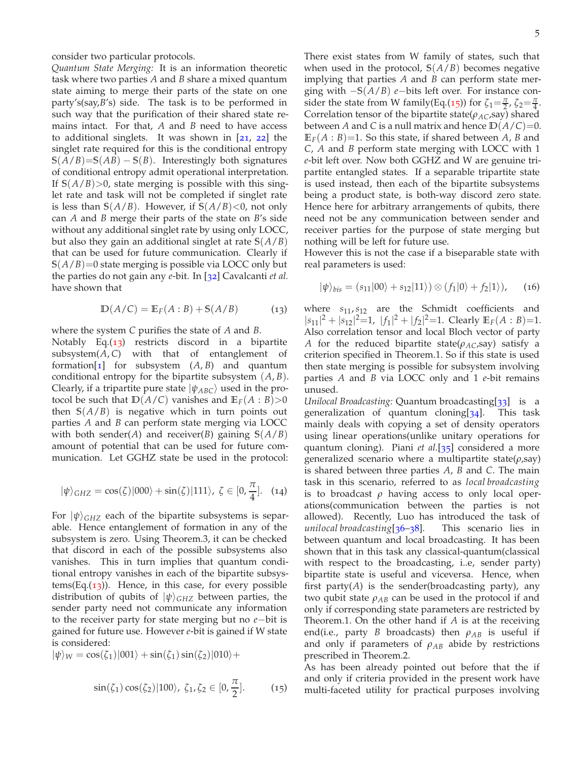consider two particular protocols.

*Quantum State Merging:* It is an information theoretic task where two parties *A* and *B* share a mixed quantum state aiming to merge their parts of the state on one party's(say,*B*'s) side. The task is to be performed in such way that the purification of their shared state remains intact. For that, *A* and *B* need to have access to additional singlets. It was shown in [21, 22] the singlet rate required for this is the conditional entropy  $S(A/B)=S(AB)-S(B)$ . Interestingly both signatures of conditional entropy admit operational interpretation. If  $S(A/B) > 0$ , state merging is possible with this singlet rate and task will not be completed if singlet rate is less than  $S(A/B)$ . However, if  $S(A/B) < 0$ , not only can *A* and *B* merge their parts of the state on *B*'s side without any additional singlet rate by using only LOCC, but also they gain an additional singlet at rate **S**(*A*/*B*) that can be used for future communication. Clearly if **S**(*A*/*B*)=0 state merging is possible via LOCC only but the parties do not gain any *e*-bit. In [32] Cavalcanti *et al.* have shown that

<span id="page-4-0"></span>
$$
\mathbb{D}(A/C) = \mathbb{E}_F(A:B) + \mathbb{S}(A/B) \tag{13}
$$

where the system *C* purifies the state of *A* and *B*.

Notably Eq.([13](#page-4-0)) restricts discord in a bipartite subsystem $(A, C)$  with that of entanglement of formation[1] for subsystem  $(A, B)$  and quantum conditional entropy for the bipartite subsystem (*A*, *B*). Clearly, if a tripartite pure state  $|\psi_{ABC}\rangle$  used in the protocol be such that  $D(A/C)$  vanishes and  $E_F(A:B) > 0$ then  $S(A/B)$  is negative which in turn points out parties *A* and *B* can perform state merging via LOCC with both sender(*A*) and receiver(*B*) gaining  $S(A/B)$ amount of potential that can be used for future communication. Let GGHZ state be used in the protocol:

$$
|\psi\rangle_{GHZ} = \cos(\zeta)|000\rangle + \sin(\zeta)|111\rangle, \ \zeta \in [0, \frac{\pi}{4}]. \tag{14}
$$

For  $|\psi\rangle_{GHZ}$  each of the bipartite subsystems is separable. Hence entanglement of formation in any of the subsystem is zero. Using Theorem.3, it can be checked that discord in each of the possible subsystems also vanishes. This in turn implies that quantum conditional entropy vanishes in each of the bipartite subsys- $tems(Eq.(13))$  $tems(Eq.(13))$  $tems(Eq.(13))$ . Hence, in this case, for every possible distribution of qubits of  $|\psi\rangle_{GHZ}$  between parties, the sender party need not communicate any information to the receiver party for state merging but no *e*−bit is gained for future use. However *e*-bit is gained if W state is considered:

<span id="page-4-1"></span>
$$
|\psi\rangle_W = \cos(\zeta_1)|001\rangle + \sin(\zeta_1)\sin(\zeta_2)|010\rangle +
$$
  

$$
\sin(\zeta_1)\cos(\zeta_2)|100\rangle, \ \zeta_1, \zeta_2 \in [0, \frac{\pi}{2}].
$$
 (15)

There exist states from W family of states, such that when used in the protocol, **S**(*A*/*B*) becomes negative implying that parties *A* and *B* can perform state merging with −**S**(*A*/*B*) *e*−bits left over. For instance con-sider the state from W family(Eq.([15](#page-4-1))) for  $\zeta_1 = \frac{\pi}{2}$ ,  $\zeta_2 = \frac{\pi}{4}$ . Correlation tensor of the bipartite state( $\rho_{AC}$ ,say) shared between *A* and *C* is a null matrix and hence  $D(A/C)=0$ .  $E_F(A:B)=1$ . So this state, if shared between *A*, *B* and *C*, *A* and *B* perform state merging with LOCC with 1 *e*-bit left over. Now both GGHZ and W are genuine tripartite entangled states. If a separable tripartite state is used instead, then each of the bipartite subsystems being a product state, is both-way discord zero state. Hence here for arbitrary arrangements of qubits, there need not be any communication between sender and receiver parties for the purpose of state merging but nothing will be left for future use.

However this is not the case if a biseparable state with real parameters is used:

$$
|\psi\rangle_{bis} = (s_{11}|00\rangle + s_{12}|11\rangle) \otimes (f_1|0\rangle + f_2|1\rangle), \quad (16)
$$

where *s*11,*s*<sup>12</sup> are the Schmidt coefficients and  $|s_{11}|^2 + |s_{12}|^2 = 1$ ,  $|f_1|^2 + |f_2|^2 = 1$ . Clearly  $\mathbb{E}_F(A : B) = 1$ . Also correlation tensor and local Bloch vector of party *A* for the reduced bipartite state( $\rho_{AC}$ ,say) satisfy a criterion specified in Theorem.1. So if this state is used then state merging is possible for subsystem involving parties *A* and *B* via LOCC only and 1 *e*-bit remains unused.

*Unilocal Broadcasting:* Quantum broadcasting[[33](#page-5-18)] is a generalization of quantum cloning $[34]$  $[34]$  $[34]$ . This task mainly deals with copying a set of density operators using linear operations(unlike unitary operations for quantum cloning). Piani *et al.*[[35](#page-5-20)] considered a more generalized scenario where a multipartite state(*ρ*,say) is shared between three parties *A*, *B* and *C*. The main task in this scenario, referred to as *local broadcasting* is to broadcast *ρ* having access to only local operations(communication between the parties is not allowed). Recently, Luo has introduced the task of *unilocal broadcasting*[36–38]. This scenario lies in between quantum and local broadcasting. It has been shown that in this task any classical-quantum(classical with respect to the broadcasting, i..e, sender party) bipartite state is useful and viceversa. Hence, when first party $(A)$  is the sender(broadcasting party), any two qubit state  $\rho_{AB}$  can be used in the protocol if and only if corresponding state parameters are restricted by Theorem.1. On the other hand if *A* is at the receiving end(i.e., party *B* broadcasts) then  $\rho_{AB}$  is useful if and only if parameters of  $\rho_{AB}$  abide by restrictions prescribed in Theorem.2.

As has been already pointed out before that the if and only if criteria provided in the present work have multi-faceted utility for practical purposes involving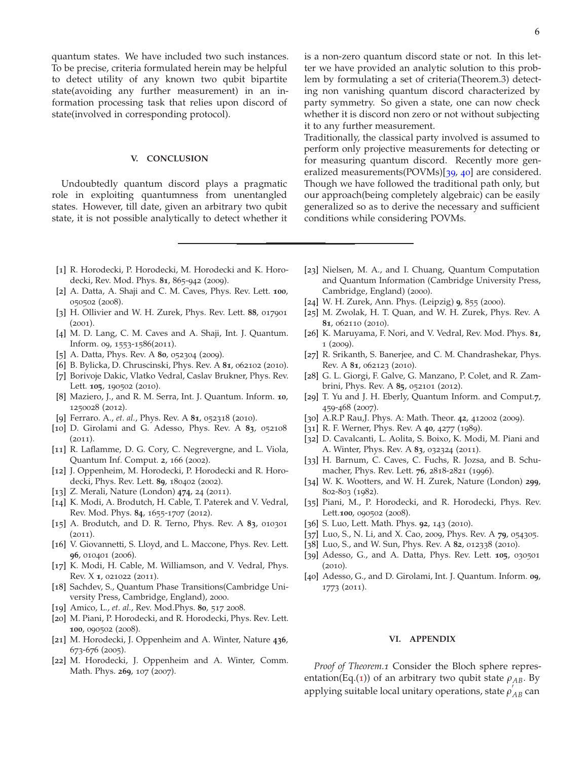quantum states. We have included two such instances. To be precise, criteria formulated herein may be helpful to detect utility of any known two qubit bipartite state(avoiding any further measurement) in an information processing task that relies upon discord of state(involved in corresponding protocol).

### <span id="page-5-14"></span>**V. CONCLUSION**

Undoubtedly quantum discord plays a pragmatic role in exploiting quantumness from unentangled states. However, till date, given an arbitrary two qubit state, it is not possible analytically to detect whether it is a non-zero quantum discord state or not. In this letter we have provided an analytic solution to this problem by formulating a set of criteria(Theorem.3) detecting non vanishing quantum discord characterized by party symmetry. So given a state, one can now check whether it is discord non zero or not without subjecting it to any further measurement.

Traditionally, the classical party involved is assumed to perform only projective measurements for detecting or for measuring quantum discord. Recently more gen-eralized measurements(POVMs)[[39](#page-5-21), [40](#page-5-22)] are considered. Though we have followed the traditional path only, but our approach(being completely algebraic) can be easily generalized so as to derive the necessary and sufficient conditions while considering POVMs.

- [1] R. Horodecki, P. Horodecki, M. Horodecki and K. Horodecki, Rev. Mod. Phys. **81**, 865-942 (2009).
- <span id="page-5-0"></span>[2] A. Datta, A. Shaji and C. M. Caves, Phys. Rev. Lett. **100**, 050502 (2008).
- <span id="page-5-1"></span>[3] H. Ollivier and W. H. Zurek, Phys. Rev. Lett. **88**, 017901 (2001).
- [4] M. D. Lang, C. M. Caves and A. Shaji, Int. J. Quantum. Inform. 09, 1553-1586(2011).
- <span id="page-5-2"></span>[5] A. Datta, Phys. Rev. A **80**, 052304 (2009).
- <span id="page-5-3"></span>[6] B. Bylicka, D. Chruscinski, Phys. Rev. A **81**, 062102 (2010).
- <span id="page-5-4"></span>[7] Borivoje Dakic, Vlatko Vedral, Caslav Brukner, Phys. Rev. Lett. **105**, 190502 (2010).
- <span id="page-5-5"></span>[8] Maziero, J., and R. M. Serra, Int. J. Quantum. Inform. **10**, 1250028 (2012).
- <span id="page-5-6"></span>[9] Ferraro. A., *et. al.*, Phys. Rev. A **81**, 052318 (2010).
- <span id="page-5-7"></span>[10] D. Girolami and G. Adesso, Phys. Rev. A **83**, 052108  $(2011).$
- [11] R. Laflamme, D. G. Cory, C. Negrevergne, and L. Viola, Quantum Inf. Comput. **2**, 166 (2002).
- [12] J. Oppenheim, M. Horodecki, P. Horodecki and R. Horodecki, Phys. Rev. Lett. **89**, 180402 (2002).
- [13] Z. Merali, Nature (London) **474**, 24 (2011).
- [14] K. Modi, A. Brodutch, H. Cable, T. Paterek and V. Vedral, Rev. Mod. Phys. **84**, 1655-1707 (2012).
- [15] A. Brodutch, and D. R. Terno, Phys. Rev. A **83**, 010301  $(2011).$
- [16] V. Giovannetti, S. Lloyd, and L. Maccone, Phys. Rev. Lett. **96**, 010401 (2006).
- [17] K. Modi, H. Cable, M. Williamson, and V. Vedral, Phys. Rev. X **1**, 021022 (2011).
- <span id="page-5-8"></span>[18] Sachdev, S., Quantum Phase Transitions(Cambridge University Press, Cambridge, England), 2000.
- <span id="page-5-9"></span>[19] Amico, L., *et. al.*, Rev. Mod.Phys. **80**, 517 2008.
- [20] M. Piani, P. Horodecki, and R. Horodecki, Phys. Rev. Lett. **100**, 090502 (2008).
- [21] M. Horodecki, J. Oppenheim and A. Winter, Nature **436**, 673-676 (2005).
- [22] M. Horodecki, J. Oppenheim and A. Winter, Comm. Math. Phys. **269**, 107 (2007).
- <span id="page-5-10"></span>[23] Nielsen, M. A., and I. Chuang, Quantum Computation and Quantum Information (Cambridge University Press, Cambridge, England) (2000).
- <span id="page-5-11"></span>[24] W. H. Zurek, Ann. Phys. (Leipzig) **9**, 855 (2000).
- <span id="page-5-12"></span>[25] M. Zwolak, H. T. Quan, and W. H. Zurek, Phys. Rev. A **81**, 062110 (2010).
- <span id="page-5-13"></span>[26] K. Maruyama, F. Nori, and V. Vedral, Rev. Mod. Phys. **81**, 1 (2009).
- [27] R. Srikanth, S. Banerjee, and C. M. Chandrashekar, Phys. Rev. A **81**, 062123 (2010).
- [28] G. L. Giorgi, F. Galve, G. Manzano, P. Colet, and R. Zambrini, Phys. Rev. A **85**, 052101 (2012).
- <span id="page-5-15"></span>[29] T. Yu and J. H. Eberly, Quantum Inform. and Comput.**7**, 459-468 (2007).
- <span id="page-5-16"></span>[30] A.R.P Rau,J. Phys. A: Math. Theor. **42**, 412002 (2009).
- <span id="page-5-17"></span>[31] R. F. Werner, Phys. Rev. A **40**, 4277 (1989).
- [32] D. Cavalcanti, L. Aolita, S. Boixo, K. Modi, M. Piani and A. Winter, Phys. Rev. A **83**, 032324 (2011).
- <span id="page-5-18"></span>[33] H. Barnum, C. Caves, C. Fuchs, R. Jozsa, and B. Schumacher, Phys. Rev. Lett. **76**, 2818-2821 (1996).
- <span id="page-5-19"></span>[34] W. K. Wootters, and W. H. Zurek, Nature (London) **299**, 802-803 (1982).
- <span id="page-5-20"></span>[35] Piani, M., P. Horodecki, and R. Horodecki, Phys. Rev. Lett.**100**, 090502 (2008).
- [36] S. Luo, Lett. Math. Phys. **92**, 143 (2010).
- [37] Luo, S., N. Li, and X. Cao, 2009, Phys. Rev. A **79**, 054305.
- [38] Luo, S., and W. Sun, Phys. Rev. A **82**, 012338 (2010).
- <span id="page-5-21"></span>[39] Adesso, G., and A. Datta, Phys. Rev. Lett. **105**, 030501 (2010).
- <span id="page-5-22"></span>[40] Adesso, G., and D. Girolami, Int. J. Quantum. Inform. **09**, 1773 (2011).

# **VI. APPENDIX**

*Proof of Theorem.1* Consider the Bloch sphere repres-entation(Eq.([1](#page-1-3))) of an arbitrary two qubit state  $\rho_{AB}$ . By applying suitable local unitary operations, state  $\rho_{AB}^{'}$  can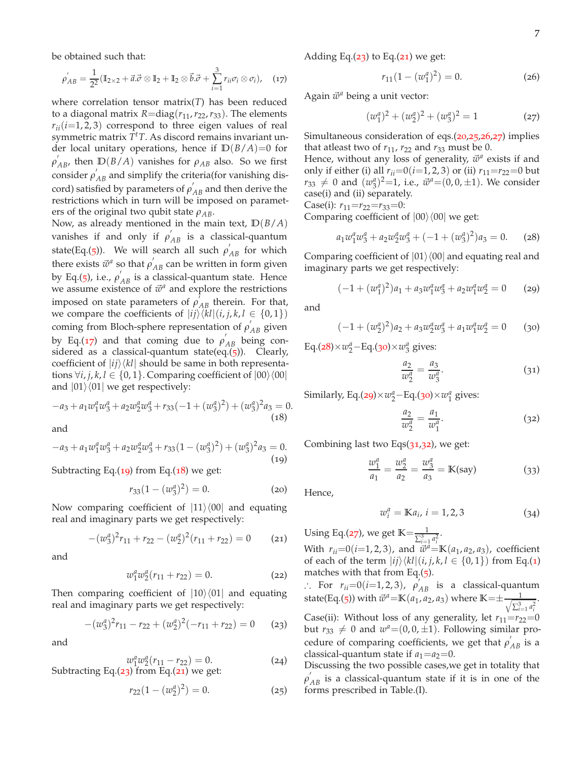be obtained such that:

<span id="page-6-0"></span>
$$
\rho_{AB}^{'}=\frac{1}{2^2}(\mathbb{I}_{2\times 2}+\vec{a}.\vec{\sigma}\otimes\mathbb{I}_2+\mathbb{I}_2\otimes\vec{b}.\vec{\sigma}+\sum_{i=1}^3r_{ii}\sigma_i\otimes\sigma_i),\quad(17)
$$

where correlation tensor matrix(*T*) has been reduced to a diagonal matrix  $R = diag(r_{11}, r_{22}, r_{33})$ . The elements  $r_{ii}(i=1, 2, 3)$  correspond to three eigen values of real symmetric matrix *T <sup>t</sup>T*. As discord remains invariant under local unitary operations, hence if  $D(B/A)=0$  for  $\rho'_{AB}$ , then  $D(B/A)$  vanishes for  $\rho_{AB}$  also. So we first consider  $\rho'_{AB}$  and simplify the criteria(for vanishing discord) satisfied by parameters of  $\rho'_{AB}$  and then derive the restrictions which in turn will be imposed on parameters of the original two qubit state  $\rho_{AB}$ .

Now, as already mentioned in the main text, **D**(*B*/*A*) vanishes if and only if  $\rho'_{AB}$  is a classical-quantum state(Eq.([5](#page-1-2))). We will search all such  $\rho'_{AB}$  for which there exists  $\vec{w}^a$  so that  $\rho'_{AB}$  can be written in form given by Eq.([5](#page-1-2)), i.e.,  $\rho'_{AB}$  is a classical-quantum state. Hence we assume existence of  $\vec{w}^a$  and explore the restrictions imposed on state parameters of  $\rho'_{AB}$  therein. For that, we compare the coefficients of  $|ij\rangle\langle kl|(i, j, k, l \in \{0, 1\})$ coming from Bloch-sphere representation of  $\rho'_{AB}$  given by Eq.([17](#page-6-0)) and that coming due to  $\rho'_{AB}$  being considered as a classical-quantum state(eq. $(5)$  $(5)$  $(5)$ ). Clearly, coefficient of  $|ij\rangle\langle kl|$  should be same in both representations  $\forall i, j, k, l \in \{0, 1\}$ . Comparing coefficient of  $|00\rangle\langle00|$ and  $|01\rangle\langle01|$  we get respectively:

$$
-a_3 + a_1 w_1^a w_3^a + a_2 w_2^a w_3^a + r_{33} (-1 + (w_3^a)^2) + (w_3^a)^2 a_3 = 0.
$$
\n(18)

<span id="page-6-1"></span>and

$$
-a_3 + a_1 w_1^a w_3^a + a_2 w_2^a w_3^a + r_{33} (1 - (w_3^a)^2) + (w_3^a)^2 a_3 = 0.
$$
\n(19)

Subtracting Eq. $(19)$  $(19)$  $(19)$  from Eq. $(18)$  $(18)$  $(18)$  we get:

$$
r_{33}(1-(w_3^a)^2)=0.
$$
 (20)

Now comparing coefficient of  $|11\rangle\langle00|$  and equating real and imaginary parts we get respectively:

$$
-(w_3^a)^2r_{11}+r_{22}-(w_2^a)^2(r_{11}+r_{22})=0
$$
 (21)

and

$$
w_1^a w_2^a (r_{11} + r_{22}) = 0.
$$
 (22)

Then comparing coefficient of  $|10\rangle\langle01|$  and equating real and imaginary parts we get respectively:

$$
-(w_3^a)^2r_{11}-r_{22}+(w_2^a)^2(-r_{11}+r_{22})=0
$$
 (23)

and

$$
w_1^a w_2^a (r_{11} - r_{22}) = 0.
$$
 (24)  
Subtracting Eq.(23) from Eq.(21) we get:

$$
r_{22}(1-(w_2^a)^2)=0.\t(25)
$$

Adding Eq. $(23)$  $(23)$  $(23)$  to Eq. $(21)$  $(21)$  $(21)$  we get:

<span id="page-6-8"></span><span id="page-6-7"></span>
$$
r_{11}(1-(w_1^a)^2)=0.\t(26)
$$

Again  $\vec{w}^a$  being a unit vector:

$$
(w_1^a)^2 + (w_2^a)^2 + (w_3^a)^2 = 1 \tag{27}
$$

Simultaneous consideration of eqs.([20](#page-6-5),[25](#page-6-6),[26](#page-6-7),[27](#page-6-8)) implies that at least two of  $r_{11}$ ,  $r_{22}$  and  $r_{33}$  must be 0.

Hence, without any loss of generality,  $\vec{w}^a$  exists if and only if either (i) all  $r_{ii}=0(i=1, 2, 3)$  or (ii)  $r_{11}=r_{22}=0$  but  $r_{33} \neq 0$  and  $(w_3^a)^2 = 1$ , i.e.,  $\vec{w}^a = (0, 0, \pm 1)$ . We consider case(i) and (ii) separately.

Case(i):  $r_{11} = r_{22} = r_{33} = 0$ :

Comparing coefficient of  $|00\rangle\langle00|$  we get:

<span id="page-6-9"></span>
$$
a_1 w_1^a w_3^a + a_2 w_2^a w_3^a + (-1 + (w_3^a)^2) a_3 = 0.
$$
 (28)

Comparing coefficient of  $|01\rangle\langle00|$  and equating real and imaginary parts we get respectively:

$$
(-1 + (w_1^a)^2)a_1 + a_3w_1^a w_3^a + a_2w_1^a w_2^a = 0 \qquad (29)
$$

<span id="page-6-10"></span>and

$$
(-1 + (w_2^a)^2)a_2 + a_3w_2^a w_3^a + a_1w_1^a w_2^a = 0 \qquad (30)
$$

Eq.([28](#page-6-9))× $w_2^a$ -Eq.([30](#page-6-10))× $w_3^a$  gives:

<span id="page-6-12"></span><span id="page-6-11"></span>
$$
\frac{a_2}{w_2^a} = \frac{a_3}{w_3^a}.\tag{31}
$$

<span id="page-6-2"></span>Similarly, Eq.([29](#page-6-11)) $\times w_2^a$ -Eq.([30](#page-6-10)) $\times w_1^a$  gives:

<span id="page-6-13"></span>
$$
\frac{a_2}{w_2^a} = \frac{a_1}{w_1^a}.\tag{32}
$$

Combining last two Eqs $(31,32)$  $(31,32)$  $(31,32)$  $(31,32)$  $(31,32)$ , we get:

$$
\frac{w_1^a}{a_1} = \frac{w_2^a}{a_2} = \frac{w_3^a}{a_3} = \text{K(say)}
$$
 (33)

<span id="page-6-5"></span>Hence,

$$
w_i^a = \mathbb{K}a_i, \, i = 1, 2, 3 \tag{34}
$$

<span id="page-6-4"></span>Using Eq.([27](#page-6-8)), we get  $\mathbb{K} = \frac{1}{\sum_{i=1}^{3} a_i^2}$ .

With  $r_{ii} = 0(i=1, 2, 3)$ , and  $\vec{w}^{\hat{a}} = K(a_1, a_2, a_3)$ , coefficient of each of the term  $|i j \rangle \langle k l | (i, j, k, l \in \{0, 1\})$  $|i j \rangle \langle k l | (i, j, k, l \in \{0, 1\})$  $|i j \rangle \langle k l | (i, j, k, l \in \{0, 1\})$  from Eq.(1) matches with that from Eq. $(5)$  $(5)$  $(5)$ .

<span id="page-6-3"></span>∴ For  $r_{ii} = 0(i=1, 2, 3)$ ,  $\rho'_{AB}$  is a classical-quantum state(Eq.([5](#page-1-2))) with  $\vec{w}^a$  = K( $a_1$ ,  $a_2$ ,  $a_3$ ) where K =  $\pm \frac{1}{\sqrt{2^3}}$  $\sum_{i=1}^{3} a_i^2$ . Case(ii): Without loss of any generality, let  $r_{11}=r_{22}=0$ but  $r_{33} \neq 0$  and  $w^a = (0, 0, \pm 1)$ . Following similar pro-

cedure of comparing coefficients, we get that  $\rho'_{AB}$  is a classical-quantum state if  $a_1 = a_2 = 0$ .

<span id="page-6-6"></span>Discussing the two possible cases,we get in totality that  $\rho'_{AB}$  is a classical-quantum state if it is in one of the forms prescribed in Table.(I).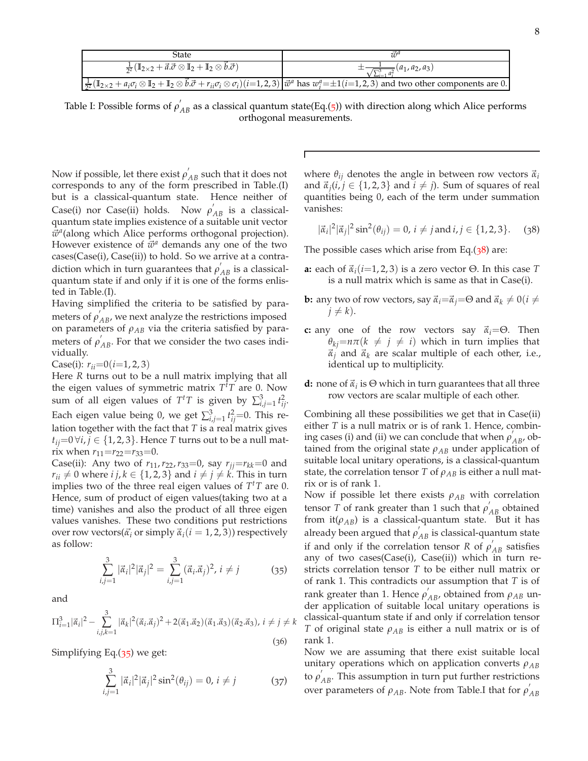| State                                                                                                                   | $\vec{\pi}^{\rho}$                                                                                                                                                                                               |
|-------------------------------------------------------------------------------------------------------------------------|------------------------------------------------------------------------------------------------------------------------------------------------------------------------------------------------------------------|
| $\frac{1}{2^2}(\mathbb{I}_{2\times 2}+\vec{a}.\vec{\sigma}\otimes\mathbb{I}_2+\mathbb{I}_2\otimes\vec{b}.\vec{\sigma})$ | $\pm \frac{1}{\sqrt{\sum_{i=1}^{3} a_i^2}} (a_1, a_2, a_3)$                                                                                                                                                      |
|                                                                                                                         | $\frac{1}{2}(I_{2\times 2} + a_i \sigma_i \otimes I_2 + I_2 \otimes \vec{b}.\vec{\sigma} + r_{ii} \sigma_i \otimes \sigma_i)(i=1,2,3)$ $ \vec{w}^a$ has $w_i^a = \pm 1(i=1,2,3)$ and two other components are 0. |

Table I: Possible forms of  $\rho'_{AB}$  as a classical quantum state(Eq.([5](#page-1-2))) with direction along which Alice performs orthogonal measurements.

Now if possible, let there exist  $\rho'_{AB}$  such that it does not corresponds to any of the form prescribed in Table.(I) but is a classical-quantum state. Hence neither of Case(i) nor Case(ii) holds. Now  $\rho'_{AB}$  is a classicalquantum state implies existence of a suitable unit vector  $\bar{\vec{w}}^a$  (along which Alice performs orthogonal projection). However existence of  $\vec{w}^a$  demands any one of the two cases(Case(i), Case(ii)) to hold. So we arrive at a contradiction which in turn guarantees that  $\rho'_{AB}$  is a classicalquantum state if and only if it is one of the forms enlisted in Table.(I).

Having simplified the criteria to be satisfied by parameters of  $\rho'_{AB}$ , we next analyze the restrictions imposed on parameters of *ρAB* via the criteria satisfied by parameters of  $\rho'_{AB}$ . For that we consider the two cases individually.

Case(i):  $r_{ii} = 0(i=1, 2, 3)$ 

Here *R* turns out to be a null matrix implying that all the eigen values of symmetric matrix *T <sup>t</sup>T* are 0. Now sum of all eigen values of  $T^tT$  is given by  $\sum_{i,j=1}^3 t_{ij}^2$ . Each eigen value being 0, we get  $\sum_{i,j=1}^{3} t_{ij}^2 = 0$ . This relation together with the fact that *T* is a real matrix gives  $t_{ii}$ =0 $\forall i, j \in \{1, 2, 3\}$ . Hence *T* turns out to be a null matrix when  $r_{11} = r_{22} = r_{33} = 0$ .

Case(ii): Any two of  $r_{11}$ ,  $r_{22}$ ,  $r_{33}=0$ , say  $r_{jj}=r_{kk}=0$  and  $r_{ii} \neq 0$  where *i j*,  $k \in \{1, 2, 3\}$  and  $i \neq j \neq k$ . This in turn implies two of the three real eigen values of  $T<sup>t</sup>T$  are 0. Hence, sum of product of eigen values(taking two at a time) vanishes and also the product of all three eigen values vanishes. These two conditions put restrictions over row vectors( $\vec{\alpha_i}$  or simply  $\vec{\alpha_i}$  ( $i = 1, 2, 3$ )) respectively as follow:

<span id="page-7-0"></span>
$$
\sum_{i,j=1}^{3} |\vec{\alpha}_i|^2 |\vec{\alpha}_j|^2 = \sum_{i,j=1}^{3} (\vec{\alpha}_i \cdot \vec{\alpha}_j)^2, i \neq j \tag{35}
$$

and

$$
\Pi_{i=1}^{3} |\vec{\alpha}_{i}|^{2} - \sum_{i,j,k=1}^{3} |\vec{\alpha}_{k}|^{2} (\vec{\alpha}_{i}.\vec{\alpha}_{j})^{2} + 2(\vec{\alpha}_{1}.\vec{\alpha}_{2})(\vec{\alpha}_{1}.\vec{\alpha}_{3})(\vec{\alpha}_{2}.\vec{\alpha}_{3}), i \neq j \neq k
$$
\n(36)

Simplifying Eq.([35](#page-7-0)) we get:

$$
\sum_{i,j=1}^{3} |\vec{\alpha}_i|^2 |\vec{\alpha}_j|^2 \sin^2(\theta_{ij}) = 0, i \neq j
$$
 (37)

where  $\theta_{ij}$  denotes the angle in between row vectors  $\vec{\alpha}_i$ and  $\vec{a}_j(i, j \in \{1, 2, 3\}$  and  $i \neq j$ ). Sum of squares of real quantities being 0, each of the term under summation vanishes:

<span id="page-7-1"></span>
$$
|\vec{\alpha}_i|^2 |\vec{\alpha}_j|^2 \sin^2(\theta_{ij}) = 0, i \neq j \text{ and } i, j \in \{1, 2, 3\}. \tag{38}
$$

The possible cases which arise from Eq. $(38)$  $(38)$  $(38)$  are:

- **a:** each of  $\vec{\alpha}_i(i=1,2,3)$  is a zero vector  $\Theta$ . In this case *T* is a null matrix which is same as that in Case(i).
- **b:** any two of row vectors, say  $\vec{\alpha}_i = \vec{\alpha}_j = \Theta$  and  $\vec{\alpha}_k \neq 0$  ( $i \neq j$  $j \neq k$ ).
- **c:** any one of the row vectors say  $\vec{\alpha}_i = \Theta$ . Then  $\theta_{ki} = n\pi(k \neq j \neq i)$  which in turn implies that  $\vec{\alpha}_i$  and  $\vec{\alpha}_k$  are scalar multiple of each other, i.e., identical up to multiplicity.
- **d:** none of  $\vec{a}$ <sub>*i*</sub> is  $\Theta$  which in turn guarantees that all three row vectors are scalar multiple of each other.

Combining all these possibilities we get that in Case(ii) either *T* is a null matrix or is of rank 1. Hence, combining cases (i) and (ii) we can conclude that when  $\rho'_{AB}$ , obtained from the original state  $\rho_{AB}$  under application of suitable local unitary operations, is a classical-quantum state, the correlation tensor *T* of  $\rho_{AB}$  is either a null matrix or is of rank 1.

Now if possible let there exists  $\rho_{AB}$  with correlation tensor *T* of rank greater than 1 such that  $\rho'_{AB}$  obtained from it( $\rho_{AB}$ ) is a classical-quantum state. But it has already been argued that  $\rho'_{AB}$  is classical-quantum state if and only if the correlation tensor *R* of  $\rho'_{AB}$  satisfies any of two cases(Case(i), Case(ii)) which in turn restricts correlation tensor *T* to be either null matrix or of rank 1. This contradicts our assumption that *T* is of rank greater than 1. Hence  $\rho'_{AB}$ , obtained from  $\rho_{AB}$  under application of suitable local unitary operations is classical-quantum state if and only if correlation tensor *T* of original state *ρAB* is either a null matrix or is of rank 1.

Now we are assuming that there exist suitable local unitary operations which on application converts *ρAB* to  $\rho'_{AB}$ . This assumption in turn put further restrictions over parameters of  $\rho_{AB}$ . Note from Table.I that for  $\rho'_{AB}$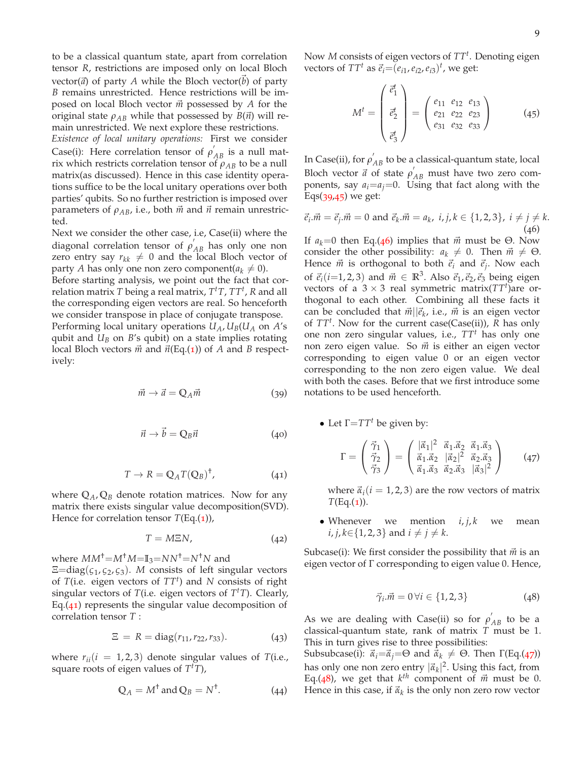to be a classical quantum state, apart from correlation tensor *R*, restrictions are imposed only on local Bloch vector( $\vec{a}$ ) of party *A* while the Bloch vector( $\vec{b}$ ) of party *B* remains unrestricted. Hence restrictions will be imposed on local Bloch vector *m*~ possessed by *A* for the original state  $\rho_{AB}$  while that possessed by  $B(\vec{n})$  will remain unrestricted. We next explore these restrictions.

*Existence of local unitary operations:* First we consider Case(i): Here correlation tensor of  $\rho'_{AB}$  is a null matrix which restricts correlation tensor of  $\rho_{AB}$  to be a null matrix(as discussed). Hence in this case identity operations suffice to be the local unitary operations over both parties' qubits. So no further restriction is imposed over parameters of  $\rho_{AB}$ , i.e., both  $\vec{m}$  and  $\vec{n}$  remain unrestricted.

Next we consider the other case, i.e, Case(ii) where the diagonal correlation tensor of  $\rho'_{AB}$  has only one non zero entry say  $r_{kk} \neq 0$  and the local Bloch vector of party *A* has only one non zero component( $a_k \neq 0$ ).

Before starting analysis, we point out the fact that correlation matrix *T* being a real matrix, *T <sup>t</sup>T*, *TT<sup>t</sup>* , *R* and all the corresponding eigen vectors are real. So henceforth we consider transpose in place of conjugate transpose. Performing local unitary operations  $U_A$ ,  $U_B(U_A)$  on  $A$ 's qubit and  $U_B$  on  $B$ 's qubit) on a state implies rotating local Bloch vectors  $\vec{m}$  and  $\vec{n}$ (Eq.([1](#page-1-3))) of *A* and *B* respectively:

<span id="page-8-1"></span>
$$
\vec{m} \to \vec{a} = \mathbb{Q}_A \vec{m} \tag{39}
$$

$$
\vec{n} \to \vec{b} = Q_B \vec{n} \tag{40}
$$

$$
T \to R = \mathbb{Q}_A T(\mathbb{Q}_B)^{\dagger}, \tag{41}
$$

<span id="page-8-0"></span>where  $\mathbb{Q}_A$ ,  $\mathbb{Q}_B$  denote rotation matrices. Now for any matrix there exists singular value decomposition(SVD). Hence for correlation tensor *T*(Eq.([1](#page-1-3))),

$$
T = M \Xi N, \tag{42}
$$

where  $MM^{\dagger} = M^{\dagger}M = I_3 = NN^{\dagger} = NN^{\dagger}N$  and Ξ=diag(*ς*<sup>1</sup> , *ς*2, *ς*3). *M* consists of left singular vectors of *T*(i.e. eigen vectors of *TT<sup>t</sup>* ) and *N* consists of right singular vectors of *T*(i.e. eigen vectors of *T <sup>t</sup>T*). Clearly, Eq.([41](#page-8-0)) represents the singular value decomposition of correlation tensor *T* :

$$
\Xi = R = \text{diag}(r_{11}, r_{22}, r_{33}). \tag{43}
$$

where  $r_{ii}$ ( $i = 1, 2, 3$ ) denote singular values of *T*(i.e., square roots of eigen values of *T <sup>t</sup>T*),

$$
Q_A = M^{\dagger} \text{ and } Q_B = N^{\dagger}. \tag{44}
$$

Now *M* consists of eigen vectors of *TT<sup>t</sup>* . Denoting eigen vectors of  $TT^t$  as  $\vec{e}_i = (e_{i1}, e_{i2}, e_{i3})^t$ , we get:

<span id="page-8-2"></span>
$$
M^{t} = \begin{pmatrix} \vec{e}_{1}^{t} \\ \vec{e}_{2}^{t} \\ \vec{e}_{3}^{t} \end{pmatrix} = \begin{pmatrix} e_{11} & e_{12} & e_{13} \\ e_{21} & e_{22} & e_{23} \\ e_{31} & e_{32} & e_{33} \end{pmatrix}
$$
(45)

In Case(ii), for  $\rho'_{AB}$  to be a classical-quantum state, local Bloch vector  $\vec{a}$  of state  $\rho'_{AB}$  must have two zero components, say  $a_i = a_j = 0$ . Using that fact along with the Eqs $(39,45)$  $(39,45)$  $(39,45)$  $(39,45)$  $(39,45)$  we get:

<span id="page-8-3"></span>
$$
\vec{e}_i \cdot \vec{m} = \vec{e}_j \cdot \vec{m} = 0 \text{ and } \vec{e}_k \cdot \vec{m} = a_k, \ i, j, k \in \{1, 2, 3\}, \ i \neq j \neq k. \tag{46}
$$

If  $a_k=0$  then Eq.([46](#page-8-3)) implies that  $\vec{m}$  must be Θ. Now consider the other possibility:  $a_k \neq 0$ . Then  $\vec{m} \neq \Theta$ . Hence  $\vec{m}$  is orthogonal to both  $\vec{e}_i$  and  $\vec{e}_j$ . Now each of  $\vec{e}_i(i=1, 2, 3)$  and  $\vec{m} \in \mathbb{R}^3$ . Also  $\vec{e}_1, \vec{e}_2, \vec{e}_3$  being eigen vectors of a  $3 \times 3$  real symmetric matrix( $TT<sup>t</sup>$ ) are orthogonal to each other. Combining all these facts it can be concluded that  $\vec{m} || \vec{e}_k$ , i.e.,  $\vec{m}$  is an eigen vector of *TT<sup>t</sup>* . Now for the current case(Case(ii)), *R* has only one non zero singular values, i.e., *TT<sup>t</sup>* has only one non zero eigen value. So *m*~ is either an eigen vector corresponding to eigen value 0 or an eigen vector corresponding to the non zero eigen value. We deal with both the cases. Before that we first introduce some notations to be used henceforth.

• Let  $\Gamma = TT^t$  be given by:

<span id="page-8-4"></span>
$$
\Gamma = \begin{pmatrix} \vec{\gamma}_1 \\ \vec{\gamma}_2 \\ \vec{\gamma}_3 \end{pmatrix} = \begin{pmatrix} |\vec{\alpha}_1|^2 & \vec{\alpha}_1 . \vec{\alpha}_2 & \vec{\alpha}_1 . \vec{\alpha}_3 \\ \vec{\alpha}_1 . \vec{\alpha}_2 & |\vec{\alpha}_2|^2 & \vec{\alpha}_2 . \vec{\alpha}_3 \\ \vec{\alpha}_1 . \vec{\alpha}_3 & \vec{\alpha}_2 . \vec{\alpha}_3 & |\vec{\alpha}_3|^2 \end{pmatrix}
$$
(47)

where  $\vec{\alpha}_i(i = 1, 2, 3)$  are the row vectors of matrix *T*(Eq.([1](#page-1-3))).

• Whenever we mention  $i, j, k$  we mean *i*, *j*, *k*∈{1, 2, 3} and *i*  $\neq$  *j*  $\neq$  *k*.

<span id="page-8-5"></span>Subcase(i): We first consider the possibility that  $\vec{m}$  is an eigen vector of Γ corresponding to eigen value 0. Hence,

$$
\vec{\gamma}_i.\vec{m} = 0 \,\forall i \in \{1, 2, 3\} \tag{48}
$$

As we are dealing with Case(ii) so for  $\rho'_{AB}$  to be a classical-quantum state, rank of matrix *T* must be 1. This in turn gives rise to three possibilities:

Subsubcase(i):  $\vec{\alpha}_i = \vec{\alpha}_j = \Theta$  and  $\vec{\alpha}_k \neq \Theta$ . Then  $\Gamma(\text{Eq.}(47))$  $\Gamma(\text{Eq.}(47))$  $\Gamma(\text{Eq.}(47))$ has only one non zero entry  $|\vec{\alpha}_k|^2$ . Using this fact, from Eq.([48](#page-8-5)), we get that  $k^{th}$  component of  $\vec{m}$  must be 0. Hence in this case, if  $\vec{a}_k$  is the only non zero row vector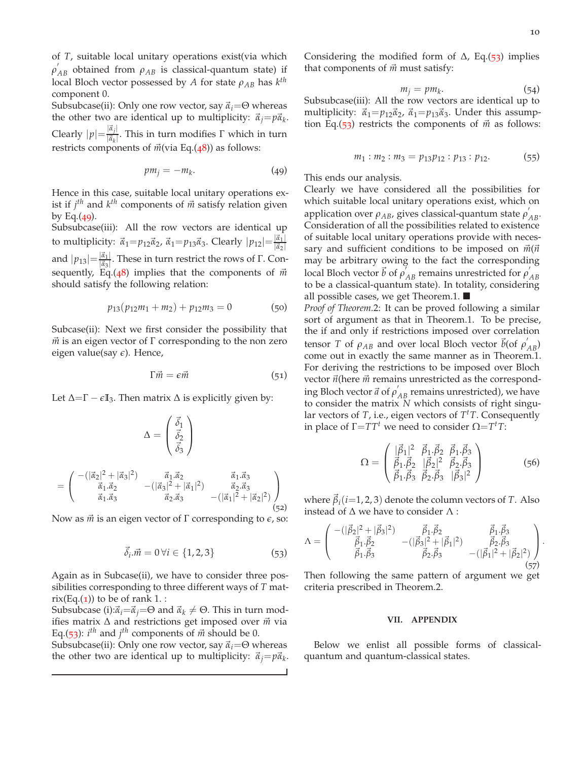of *T*, suitable local unitary operations exist(via which  $\rho'_{AB}$  obtained from  $\rho_{AB}$  is classical-quantum state) if local Bloch vector possessed by  $A$  for state  $\rho_{AB}$  has  $k^{th}$ component 0.

Subsubcase(ii): Only one row vector, say~*αi*=Θ whereas the other two are identical up to multiplicity:  $\vec{\alpha}_j = p\vec{\alpha}_k$ . Clearly  $|p| = \frac{|\vec{\alpha}_j|}{|\vec{\alpha}_k|}$ . This in turn modifies  $\Gamma$  which in turn restricts components of  $\vec{m}$  (via Eq.([48](#page-8-5))) as follows:

$$
pm_j = -m_k. \t\t(49)
$$

Hence in this case, suitable local unitary operations exist if *j th* and *k th* components of *m*~ satisfy relation given by Eq. $(49)$  $(49)$  $(49)$ .

Subsubcase(iii): All the row vectors are identical up to multiplicity:  $\vec{\alpha}_1 = p_{12}\vec{\alpha}_2$ ,  $\vec{\alpha}_1 = p_{13}\vec{\alpha}_3$ . Clearly  $|p_{12}| = \frac{|\vec{\alpha}_1|}{|\vec{\alpha}_2|}$ and  $|p_{13}| = \frac{|\vec{a}_1|}{|\vec{a}_3|}$ . These in turn restrict the rows of Γ. Consequently, Eq.( $48$ ) implies that the components of  $\vec{m}$ should satisfy the following relation:

$$
p_{13}(p_{12}m_1 + m_2) + p_{12}m_3 = 0 \tag{50}
$$

Subcase(ii): Next we first consider the possibility that  $\vec{m}$  is an eigen vector of  $\Gamma$  corresponding to the non zero eigen value(say *ǫ*). Hence,

$$
\Gamma \vec{m} = \epsilon \vec{m} \tag{51}
$$

Let  $\Delta = \Gamma - \epsilon I_3$ . Then matrix  $\Delta$  is explicitly given by:

$$
\Delta = \begin{pmatrix} \vec{\delta}_{1} \\ \vec{\delta}_{2} \\ \vec{\delta}_{3} \end{pmatrix}
$$

$$
= \begin{pmatrix} -(|\vec{\alpha}_{2}|^{2} + |\vec{\alpha}_{3}|^{2}) & \vec{\alpha}_{1}.\vec{\alpha}_{2} & \vec{\alpha}_{1}.\vec{\alpha}_{3} \\ \vec{\alpha}_{1}.\vec{\alpha}_{2} & -(|\vec{\alpha}_{3}|^{2} + |\vec{\alpha}_{1}|^{2}) & \vec{\alpha}_{2}.\vec{\alpha}_{3} \\ \vec{\alpha}_{1}.\vec{\alpha}_{3} & \vec{\alpha}_{2}.\vec{\alpha}_{3} & -(|\vec{\alpha}_{1}|^{2} + |\vec{\alpha}_{2}|^{2}) \end{pmatrix}
$$
(52)

<span id="page-9-1"></span>Now as *m*~ is an eigen vector of Γ corresponding to *ǫ*, so:

$$
\vec{\delta}_i \cdot \vec{m} = 0 \,\forall i \in \{1, 2, 3\} \tag{53}
$$

Again as in Subcase(ii), we have to consider three possibilities corresponding to three different ways of *T* mat-rix(Eq.([1](#page-1-3))) to be of rank 1. :

Subsubcase (i): $\vec{\alpha}_i = \vec{\alpha}_j = \Theta$  and  $\vec{\alpha}_k \neq \Theta$ . This in turn modifies matrix ∆ and restrictions get imposed over *m*~ via Eq.([53](#page-9-1)):  $i^{th}$  and  $j^{th}$  components of  $\vec{m}$  should be 0.

Subsubcase(ii): Only one row vector, say~*αi*=Θ whereas the other two are identical up to multiplicity:  $\vec{\alpha}_j = p\vec{\alpha}_k$ . Considering the modified form of  $\Delta$ , Eq.([53](#page-9-1)) implies that components of *m*~ must satisfy:

$$
m_j = pm_k. \tag{54}
$$

Subsubcase(iii): All the row vectors are identical up to multiplicity:  $\vec{\alpha}_1 = p_{12}\vec{\alpha}_2$ ,  $\vec{\alpha}_1 = p_{13}\vec{\alpha}_3$ . Under this assumption Eq.( $\frac{53}{3}$  $\frac{53}{3}$  $\frac{53}{3}$ ) restricts the components of  $\vec{m}$  as follows:

$$
m_1 : m_2 : m_3 = p_{13} p_{12} : p_{13} : p_{12}. \tag{55}
$$

<span id="page-9-0"></span>This ends our analysis.

Clearly we have considered all the possibilities for which suitable local unitary operations exist, which on application over  $\rho_{AB}$ , gives classical-quantum state  $\rho_{AB}'$ . Consideration of all the possibilities related to existence of suitable local unitary operations provide with necessary and sufficient conditions to be imposed on  $\vec{m}$  ( $\vec{n}$ may be arbitrary owing to the fact the corresponding local Bloch vector  $\vec{b}$  of  $\rho'_{AB}$  remains unrestricted for  $\rho'_{AB}$ to be a classical-quantum state). In totality, considering all possible cases, we get Theorem.1.

*Proof of Theorem.*2: It can be proved following a similar sort of argument as that in Theorem.1. To be precise, the if and only if restrictions imposed over correlation tensor *T* of  $\rho_{AB}$  and over local Bloch vector  $\vec{b}$ (of  $\rho'_{AB}$ ) come out in exactly the same manner as in Theorem.1. For deriving the restrictions to be imposed over Bloch vector  $\vec{n}$ (here  $\vec{m}$  remains unrestricted as the corresponding Bloch vector  $\vec{a}$  of  $\rho'_{AB}$  remains unrestricted), we have to consider the matrix *N* which consists of right singular vectors of *T*, i.e., eigen vectors of *T <sup>t</sup>T*. Consequently in place of  $\Gamma = TT<sup>t</sup>$  we need to consider  $Ω = T<sup>t</sup>T$ :

$$
\Omega = \begin{pmatrix} |\vec{\beta}_1|^2 & \vec{\beta}_1 \cdot \vec{\beta}_2 & \vec{\beta}_1 \cdot \vec{\beta}_3 \\ \vec{\beta}_1 \cdot \vec{\beta}_2 & |\vec{\beta}_2|^2 & \vec{\beta}_2 \cdot \vec{\beta}_3 \\ \vec{\beta}_1 \cdot \vec{\beta}_3 & \vec{\beta}_2 \cdot \vec{\beta}_3 & |\vec{\beta}_3|^2 \end{pmatrix}
$$
(56)

where  $\vec{\beta}_i(i=1,2,3)$  denote the column vectors of *T*. Also instead of  $\Delta$  we have to consider  $\Lambda$  :

$$
\Lambda = \begin{pmatrix} -(|\vec{\beta}_2|^2 + |\vec{\beta}_3|^2) & \vec{\beta}_1 \cdot \vec{\beta}_2 & \vec{\beta}_1 \cdot \vec{\beta}_3 \\ \vec{\beta}_1 \cdot \vec{\beta}_2 & -(|\vec{\beta}_3|^2 + |\vec{\beta}_1|^2) & \vec{\beta}_2 \cdot \vec{\beta}_3 \\ \vec{\beta}_1 \cdot \vec{\beta}_3 & \vec{\beta}_2 \cdot \vec{\beta}_3 & -(|\vec{\beta}_1|^2 + |\vec{\beta}_2|^2) \end{pmatrix}.
$$

Then following the same pattern of argument we get criteria prescribed in Theorem.2.

### **VII. APPENDIX**

Below we enlist all possible forms of classicalquantum and quantum-classical states.